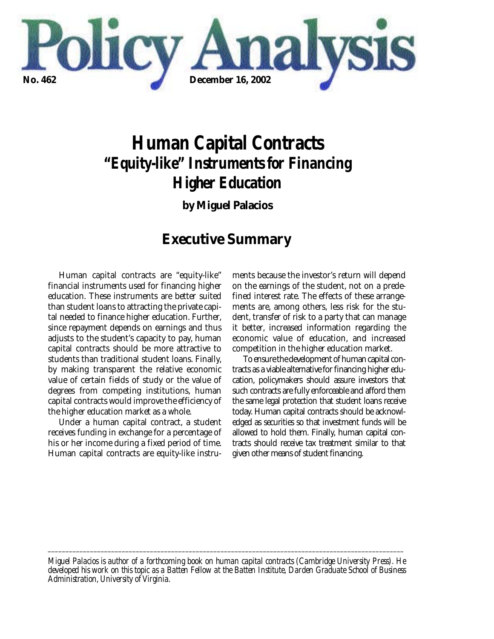

# *Human Capital Contracts "Equity-like" Instruments for Financing Higher Education*

**by Miguel Palacios**

## **Executive Summary**

Human capital contracts are "equity-like" financial instruments used for financing higher education. These instruments are better suited than student loans to attracting the private capital needed to finance higher education. Further, since repayment depends on earnings and thus adjusts to the student's capacity to pay, human capital contracts should be more attractive to students than traditional student loans. Finally, by making transparent the relative economic value of certain fields of study or the value of degrees from competing institutions, human capital contracts would improve the efficiency of the higher education market as a whole.

Under a human capital contract, a student receives funding in exchange for a percentage of his or her income during a fixed period of time. Human capital contracts are equity-like instruments because the investor's return will depend on the earnings of the student, not on a predefined interest rate. The effects of these arrangements are, among others, less risk for the student, transfer of risk to a party that can manage it better, increased information regarding the economic value of education, and increased competition in the higher education market.

To ensure the development of human capital contracts as a viable alternative for financing higher education, policymakers should assure investors that such contracts are fully enforceable and afford them the same legal protection that student loans receive today. Human capital contracts should be acknowledged as securities so that investment funds will be allowed to hold them. Finally, human capital contracts should receive tax treatment similar to that given other means of student financing.

*Miguel Palacios is author of a forthcoming book on human capital contracts (Cambridge University Press). He developed his work on this topic as a Batten Fellow at the Batten Institute, Darden Graduate School of Business Administration, University of Virginia.*

*\_\_\_\_\_\_\_\_\_\_\_\_\_\_\_\_\_\_\_\_\_\_\_\_\_\_\_\_\_\_\_\_\_\_\_\_\_\_\_\_\_\_\_\_\_\_\_\_\_\_\_\_\_\_\_\_\_\_\_\_\_\_\_\_\_\_\_\_\_\_\_\_\_\_\_\_\_\_\_\_\_\_\_\_\_\_\_\_\_\_\_\_\_\_\_\_\_\_\_\_\_*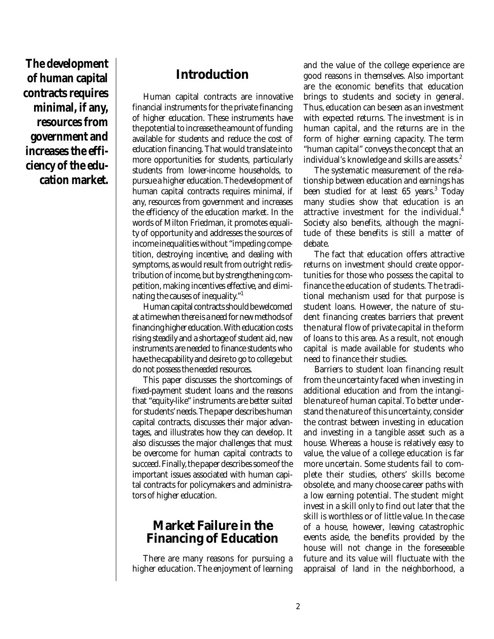**The development of human capital contracts requires minimal, if any, resources from government and increases the efficiency of the education market.**

## **Introduction**

Human capital contracts are innovative financial instruments for the private financing of higher education. These instruments have the potential to increase the amount of funding available for students and reduce the cost of education financing. That would translate into more opportunities for students, particularly students from lower-income households, to pursue a higher education. The development of human capital contracts requires minimal, if any, resources from government and increases the efficiency of the education market. In the words of Milton Friedman, it promotes equality of opportunity and addresses the sources of income inequalities without "impeding competition, destroying incentive, and dealing with symptoms, as would result from outright redistribution of income, but by strengthening competition, making incentives effective, and eliminating the causes of inequality."1

Human capital contracts should be welcomed at a time when there is a need for new methods of financing higher education. With education costs rising steadily and a shortage of student aid, new instruments are needed to finance students who have the capability and desire to go to college but do not possess the needed resources.

This paper discusses the shortcomings of fixed-payment student loans and the reasons that "equity-like" instruments are better suited for students' needs. The paper describes human capital contracts, discusses their major advantages, and illustrates how they can develop. It also discusses the major challenges that must be overcome for human capital contracts to succeed. Finally, the paper describes some of the important issues associated with human capital contracts for policymakers and administrators of higher education.

## **Market Failure in the Financing of Education**

There are many reasons for pursuing a higher education. The enjoyment of learning and the value of the college experience are good reasons in themselves. Also important are the economic benefits that education brings to students and society in general. Thus, education can be seen as an investment with expected returns. The investment is in human capital, and the returns are in the form of higher earning capacity. The term "human capital" conveys the concept that an individual's knowledge and skills are assets.<sup>2</sup>

The systematic measurement of the relationship between education and earnings has been studied for at least  $65$  years.<sup>3</sup> Today many studies show that education is an attractive investment for the individual.<sup>4</sup> Society also benefits, although the magnitude of these benefits is still a matter of debate.

The fact that education offers attractive returns on investment should create opportunities for those who possess the capital to finance the education of students. The traditional mechanism used for that purpose is student loans. However, the nature of student financing creates barriers that prevent the natural flow of private capital in the form of loans to this area. As a result, not enough capital is made available for students who need to finance their studies.

Barriers to student loan financing result from the uncertainty faced when investing in additional education and from the intangible nature of human capital. To better understand the nature of this uncertainty, consider the contrast between investing in education and investing in a tangible asset such as a house. Whereas a house is relatively easy to value, the value of a college education is far more uncertain. Some students fail to complete their studies, others' skills become obsolete, and many choose career paths with a low earning potential. The student might invest in a skill only to find out later that the skill is worthless or of little value. In the case of a house, however, leaving catastrophic events aside, the benefits provided by the house will not change in the foreseeable future and its value will fluctuate with the appraisal of land in the neighborhood, a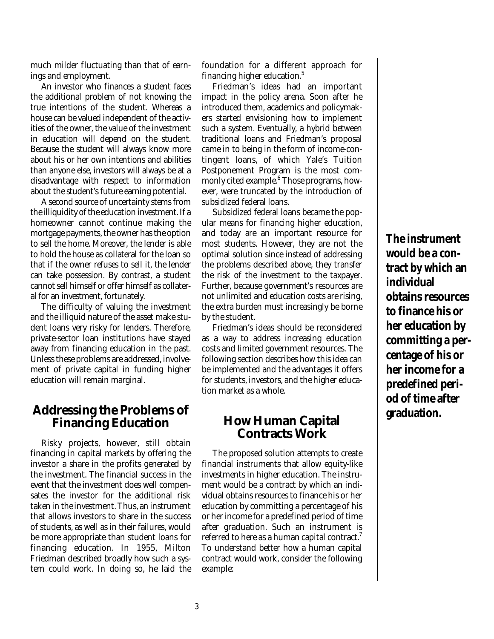much milder fluctuating than that of earnings and employment.

An investor who finances a student faces the additional problem of not knowing the true intentions of the student. Whereas a house can be valued independent of the activities of the owner, the value of the investment in education will depend on the student. Because the student will always know more about his or her own intentions and abilities than anyone else, investors will always be at a disadvantage with respect to information about the student's future earning potential.

A second source of uncertainty stems from the illiquidity of the education investment. If a homeowner cannot continue making the mortgage payments, the owner has the option to sell the home. Moreover, the lender is able to hold the house as collateral for the loan so that if the owner refuses to sell it, the lender can take possession. By contrast, a student cannot sell himself or offer himself as collateral for an investment, fortunately.

The difficulty of valuing the investment and the illiquid nature of the asset make student loans very risky for lenders. Therefore, private-sector loan institutions have stayed away from financing education in the past. Unless these problems are addressed, involvement of private capital in funding higher education will remain marginal.

### **Addressing the Problems of Financing Education**

Risky projects, however, still obtain financing in capital markets by offering the investor a share in the profits generated by the investment. The financial success in the event that the investment does well compensates the investor for the additional risk taken in the investment. Thus, an instrument that allows investors to share in the success of students, as well as in their failures, would be more appropriate than student loans for financing education. In 1955, Milton Friedman described broadly how such a system could work. In doing so, he laid the

foundation for a different approach for financing higher education.<sup>5</sup>

Friedman's ideas had an important impact in the policy arena. Soon after he introduced them, academics and policymakers started envisioning how to implement such a system. Eventually, a hybrid between traditional loans and Friedman's proposal came in to being in the form of income-contingent loans, of which Yale's Tuition Postponement Program is the most commonly cited example.<sup>6</sup> Those programs, however, were truncated by the introduction of subsidized federal loans.

Subsidized federal loans became the popular means for financing higher education, and today are an important resource for most students. However, they are not the optimal solution since instead of addressing the problems described above, they transfer the risk of the investment to the taxpayer. Further, because government's resources are not unlimited and education costs are rising, the extra burden must increasingly be borne by the student.

Friedman's ideas should be reconsidered as a way to address increasing education costs and limited government resources. The following section describes how this idea can be implemented and the advantages it offers for students, investors, and the higher education market as a whole.

## **How Human Capital Contracts Work**

The proposed solution attempts to create financial instruments that allow equity-like investments in higher education. The instrument would be a contract by which an individual obtains resources to finance his or her education by committing a percentage of his or her income for a predefined period of time after graduation. Such an instrument is referred to here as a human capital contract.<sup>7</sup> To understand better how a human capital contract would work, consider the following example:

**The instrument would be a contract by which an individual obtains resources to finance his or her education by committing a percentage of his or her income for a predefined period of time after graduation.**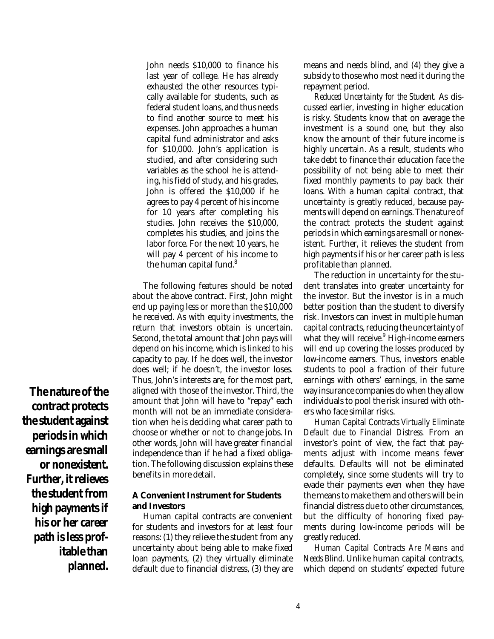**The nature of the contract protects the student against periods in which earnings are small or nonexistent. Further, it relieves the student from high payments if his or her career path is less prof-**

> **itable than planned.**

John needs \$10,000 to finance his last year of college. He has already exhausted the other resources typically available for students, such as federal student loans, and thus needs to find another source to meet his expenses. John approaches a human capital fund administrator and asks for \$10,000. John's application is studied, and after considering such variables as the school he is attending, his field of study, and his grades, John is offered the \$10,000 if he agrees to pay 4 percent of his income for 10 years after completing his studies. John receives the \$10,000, completes his studies, and joins the labor force. For the next 10 years, he will pay 4 percent of his income to the human capital fund.<sup>8</sup>

The following features should be noted about the above contract. First, John might end up paying less or more than the \$10,000 he received. As with equity investments, the return that investors obtain is uncertain. Second, the total amount that John pays will depend on his income, which is linked to his capacity to pay. If he does well, the investor does well; if he doesn't, the investor loses. Thus, John's interests are, for the most part, aligned with those of the investor. Third, the amount that John will have to "repay" each month will not be an immediate consideration when he is deciding what career path to choose or whether or not to change jobs. In other words, John will have greater financial independence than if he had a fixed obligation. The following discussion explains these benefits in more detail.

#### **A Convenient Instrument for Students and Investors**

Human capital contracts are convenient for students and investors for at least four reasons: (1) they relieve the student from any uncertainty about being able to make fixed loan payments, (2) they virtually eliminate default due to financial distress, (3) they are

means and needs blind, and (4) they give a subsidy to those who most need it during the repayment period.

*Reduced Uncertainty for the Student.* As discussed earlier, investing in higher education is risky. Students know that on average the investment is a sound one, but they also know the amount of their future income is highly uncertain. As a result, students who take debt to finance their education face the possibility of not being able to meet their fixed monthly payments to pay back their loans. With a human capital contract, that uncertainty is greatly reduced, because payments will depend on earnings. The nature of the contract protects the student against periods in which earnings are small or nonexistent. Further, it relieves the student from high payments if his or her career path is less profitable than planned.

The reduction in uncertainty for the student translates into greater uncertainty for the investor. But the investor is in a much better position than the student to diversify risk. Investors can invest in multiple human capital contracts, reducing the uncertainty of what they will receive. $9$  High-income earners will end up covering the losses produced by low-income earners. Thus, investors enable students to pool a fraction of their future earnings with others' earnings, in the same way insurance companies do when they allow individuals to pool the risk insured with others who face similar risks.

*Human Capital Contracts Virtually Eliminate Default due to Financial Distress.* From an investor's point of view, the fact that payments adjust with income means fewer defaults. Defaults will not be eliminated completely, since some students will try to evade their payments even when they have the means to make them and others will be in financial distress due to other circumstances, but the difficulty of honoring fixed payments during low-income periods will be greatly reduced.

*Human Capital Contracts Are Means and Needs Blind.* Unlike human capital contracts, which depend on students' expected future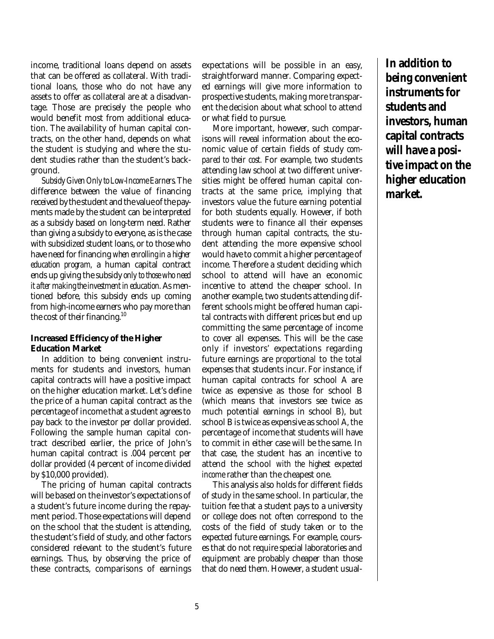income, traditional loans depend on assets that can be offered as collateral. With traditional loans, those who do not have any assets to offer as collateral are at a disadvantage. Those are precisely the people who would benefit most from additional education. The availability of human capital contracts, on the other hand, depends on what the student is studying and where the student studies rather than the student's background.

*Subsidy Given Only to Low-Income Earners.* The difference between the value of financing received by the student and the value of the payments made by the student can be interpreted as a subsidy based on long-term need. Rather than giving a subsidy to everyone, as is the case with subsidized student loans, or to those who have need for financing *when enrolling in a higher education program,* a human capital contract ends up giving the subsidy *only to those who need it after making the investment in education.* As mentioned before, this subsidy ends up coming from high-income earners who pay more than the cost of their financing.<sup>10</sup>

#### **Increased Efficiency of the Higher Education Market**

In addition to being convenient instruments for students and investors, human capital contracts will have a positive impact on the higher education market. Let's define the price of a human capital contract as the percentage of income that a student agrees to pay back to the investor *per* dollar provided. Following the sample human capital contract described earlier, the price of John's human capital contract is .004 percent per dollar provided (4 percent of income divided by \$10,000 provided).

The pricing of human capital contracts will be based on the investor's expectations of a student's future income during the repayment period. Those expectations will depend on the school that the student is attending, the student's field of study, and other factors considered relevant to the student's future earnings. Thus, by observing the price of these contracts, comparisons of earnings

expectations will be possible in an easy, straightforward manner. Comparing expected earnings will give more information to prospective students, making more transparent the decision about what school to attend or what field to pursue.

More important, however, such comparisons will reveal information about the economic value of certain fields of study *compared to their cost.* For example, two students attending law school at two different universities might be offered human capital contracts at the same price, implying that investors value the future earning potential for both students equally. However, if both students were to finance all their expenses through human capital contracts, the student attending the more expensive school would have to commit a higher percentage of income. Therefore a student deciding which school to attend will have an economic incentive to attend the cheaper school. In another example, two students attending different schools might be offered human capital contracts with different prices but end up committing the same percentage of income to cover all expenses. This will be the case only if investors' expectations regarding future earnings are *proportional* to the total expenses that students incur. For instance, if human capital contracts for school A are twice as expensive as those for school B (which means that investors see twice as much potential earnings in school B), but school B is twice as expensive as school A, the percentage of income that students will have to commit in either case will be the same. In that case, the student has an incentive to attend the school *with the highest expected income* rather than the cheapest one.

This analysis also holds for different fields of study in the same school. In particular, the tuition fee that a student pays to a university or college does not often correspond to the costs of the field of study taken or to the expected future earnings. For example, courses that do not require special laboratories and equipment are probably cheaper than those that do need them. However, a student usual**In addition to being convenient instruments for students and investors, human capital contracts will have a positive impact on the higher education market.**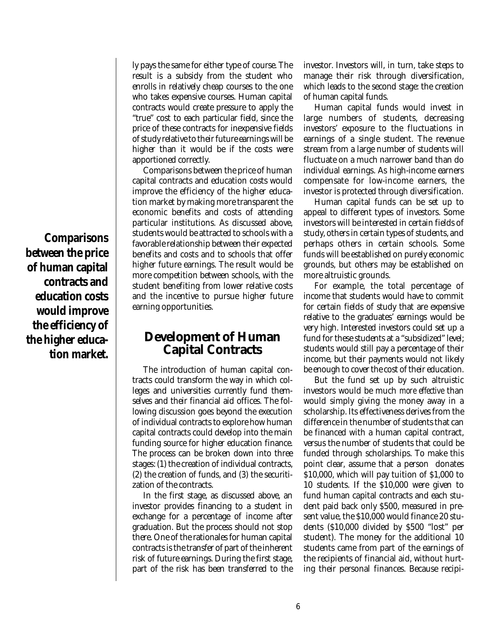**Comparisons between the price of human capital contracts and education costs would improve the efficiency of the higher education market.**

ly pays the same for either type of course. The result is a subsidy from the student who enrolls in relatively cheap courses to the one who takes expensive courses. Human capital contracts would create pressure to apply the "true" cost to each particular field, since the price of these contracts for inexpensive fields of study relative to their future earnings will be higher than it would be if the costs were apportioned correctly.

Comparisons between the price of human capital contracts and education costs would improve the efficiency of the higher education market by making more transparent the economic benefits and costs of attending particular institutions. As discussed above, students would be attracted to schools with a favorable relationship between their expected benefits and costs and to schools that offer higher future earnings. The result would be more competition between schools, with the student benefiting from lower relative costs and the incentive to pursue higher future earning opportunities.

#### **Development of Human Capital Contracts**

The introduction of human capital contracts could transform the way in which colleges and universities currently fund themselves and their financial aid offices. The following discussion goes beyond the execution of individual contracts to explore how human capital contracts could develop into the main funding source for higher education finance. The process can be broken down into three stages: (1) the creation of individual contracts, (2) the creation of funds, and (3) the securitization of the contracts.

In the first stage, as discussed above, an investor provides financing to a student in exchange for a percentage of income after graduation. But the process should not stop there. One of the rationales for human capital contracts is the transfer of part of the inherent risk of future earnings. During the first stage, part of the risk has been transferred to the investor. Investors will, in turn, take steps to manage their risk through diversification, which leads to the second stage: the creation of human capital funds.

Human capital funds would invest in large numbers of students, decreasing investors' exposure to the fluctuations in earnings of a single student. The revenue stream from a large number of students will fluctuate on a much narrower band than do individual earnings. As high-income earners compensate for low-income earners, the investor is protected through diversification.

Human capital funds can be set up to appeal to different types of investors. Some investors will be interested in certain fields of study, others in certain types of students, and perhaps others in certain schools. Some funds will be established on purely economic grounds, but others may be established on more altruistic grounds.

For example, the total percentage of income that students would have to commit for certain fields of study that are expensive relative to the graduates' earnings would be very high. Interested investors could set up a fund for these students at a "subsidized" level; students would still pay a percentage of their income, but their payments would not likely be enough to cover the cost of their education.

But the fund set up by such altruistic investors would be much *more effective* than would simply giving the money away in a scholarship. Its effectiveness derives from the difference in the number of students that can be financed with a human capital contract, versus the number of students that could be funded through scholarships. To make this point clear, assume that a person donates \$10,000, which will pay tuition of \$1,000 to 10 students. If the \$10,000 were given to fund human capital contracts and each student paid back only \$500, measured in present value, the \$10,000 would finance 20 students (\$10,000 divided by \$500 "lost" per student). The money for the additional 10 students came from part of the earnings of the recipients of financial aid, without hurting their personal finances. Because recipi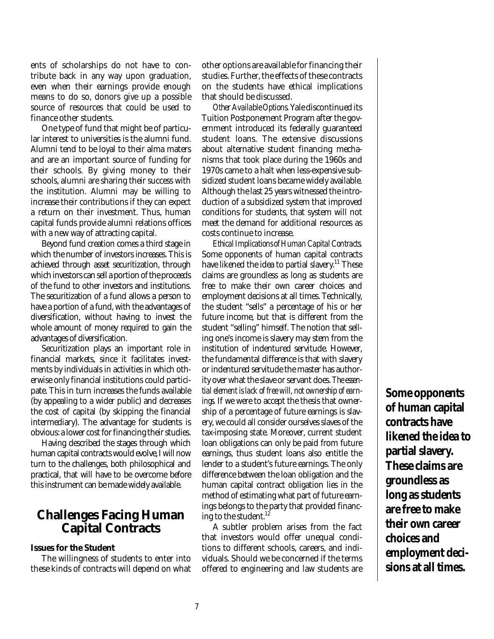ents of scholarships do not have to contribute back in any way upon graduation, even when their earnings provide enough means to do so, donors give up a possible source of resources that could be used to finance other students.

One type of fund that might be of particular interest to universities is the alumni fund. Alumni tend to be loyal to their alma maters and are an important source of funding for their schools. By giving money to their schools, alumni are sharing their success with the institution. Alumni may be willing to increase their contributions if they can expect a return on their investment. Thus, human capital funds provide alumni relations offices with a new way of attracting capital.

Beyond fund creation comes a third stage in which the number of investors increases. This is achieved through asset securitization, through which investors can sell a portion of the proceeds of the fund to other investors and institutions. The securitization of a fund allows a person to have a portion of a fund, with the advantages of diversification, without having to invest the whole amount of money required to gain the advantages of diversification.

Securitization plays an important role in financial markets, since it facilitates investments by individuals in activities in which otherwise only financial institutions could participate. This in turn increases the funds available (by appealing to a wider public) and decreases the cost of capital (by skipping the financial intermediary). The advantage for students is obvious: a lower cost for financing their studies.

Having described the stages through which human capital contracts would evolve, I will now turn to the challenges, both philosophical and practical, that will have to be overcome before this instrument can be made widely available.

#### **Challenges Facing Human Capital Contracts**

#### **Issues for the Student**

The willingness of students to enter into these kinds of contracts will depend on what other options are available for financing their studies. Further, the effects of these contracts on the students have ethical implications that should be discussed.

*Other Available Options.*Yale discontinued its Tuition Postponement Program after the government introduced its federally guaranteed student loans. The extensive discussions about alternative student financing mechanisms that took place during the 1960s and 1970s came to a halt when less-expensive subsidized student loans became widely available. Although the last 25 years witnessed the introduction of a subsidized system that improved conditions for students, that system will not meet the demand for additional resources as costs continue to increase.

*Ethical Implications of Human Capital Contracts.* Some opponents of human capital contracts have likened the idea to partial slavery.<sup>11</sup> These claims are groundless as long as students are free to make their own career choices and employment decisions at all times. Technically, the student "sells" a percentage of his or her future income, but that is different from the student "selling" himself. The notion that selling one's income is slavery may stem from the institution of indentured servitude. However, the fundamental difference is that with slavery or indentured servitude the master has authority over what the slave or servant does. *The essential element is lack of free will, not ownership of earnings.* If we were to accept the thesis that ownership of a percentage of future earnings is slavery, we could all consider ourselves slaves of the tax-imposing state. Moreover, current student loan obligations can only be paid from future earnings, thus student loans also entitle the lender to a student's future earnings. The only difference between the loan obligation and the human capital contract obligation lies in the method of estimating what part of future earnings belongs to the party that provided financing to the student.<sup>12</sup>

A subtler problem arises from the fact that investors would offer unequal conditions to different schools, careers, and individuals. Should we be concerned if the terms offered to engineering and law students are **Some opponents of human capital contracts have likened the idea to partial slavery. These claims are groundless as long as students are free to make their own career choices and employment decisions at all times.**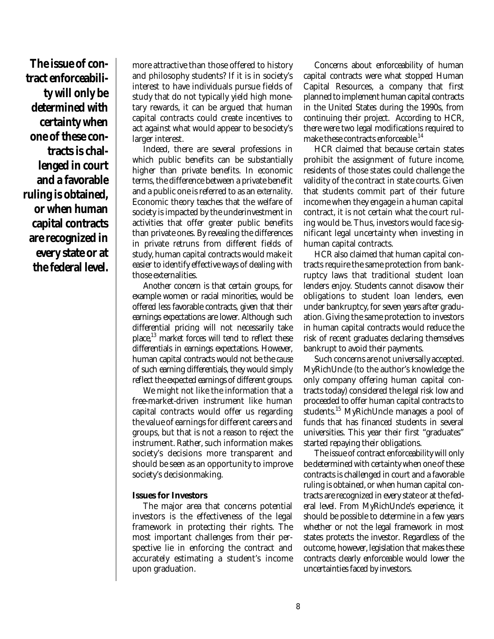**The issue of contract enforceability will only be determined with certainty when one of these contracts is challenged in court and a favorable ruling is obtained, or when human capital contracts are recognized in every state or at the federal level.**

more attractive than those offered to history and philosophy students? If it is in society's interest to have individuals pursue fields of study that do not typically yield high monetary rewards, it can be argued that human capital contracts could create incentives to act against what would appear to be society's larger interest.

Indeed, there are several professions in which public benefits can be substantially higher than private benefits. In economic terms, the difference between a private benefit and a public one is referred to as an *externality*. Economic theory teaches that the welfare of society is impacted by the underinvestment in activities that offer greater public benefits than private ones. By revealing the differences in private retruns from different fields of study, human capital contracts would make it easier to identify effective ways of dealing with those externalities.

Another concern is that certain groups, for example women or racial minorities, would be offered less favorable contracts, given that their earnings expectations are lower. Although such differential pricing will not necessarily take place,13 market forces will tend to reflect these differentials in earnings expectations. However, human capital contracts would not be the *cause* of such earning differentials, they would simply reflect the expected earnings of different groups.

We might not like the information that a free-market-driven instrument like human capital contracts would offer us regarding the value of earnings for different careers and groups, but that is not a reason to reject the instrument. Rather, such information makes society's decisions more transparent and should be seen as an opportunity to improve society's decisionmaking.

#### **Issues for Investors**

The major area that concerns potential investors is the effectiveness of the legal framework in protecting their rights. The most important challenges from their perspective lie in enforcing the contract and accurately estimating a student's income upon graduation.

Concerns about enforceability of human capital contracts were what stopped Human Capital Resources, a company that first planned to implement human capital contracts in the United States during the 1990s, from continuing their project. According to HCR, there were two legal modifications required to make these contracts enforceable.<sup>14</sup>

HCR claimed that because certain states prohibit the assignment of future income, residents of those states could challenge the validity of the contract in state courts. Given that students commit part of their future income when they engage in a human capital contract, it is not certain what the court ruling would be. Thus, investors would face significant legal uncertainty when investing in human capital contracts.

HCR also claimed that human capital contracts require the same protection from bankruptcy laws that traditional student loan lenders enjoy. Students cannot disavow their obligations to student loan lenders, even under bankruptcy, for seven years after graduation. Giving the same protection to investors in human capital contracts would reduce the risk of recent graduates declaring themselves bankrupt to avoid their payments.

Such concerns are not universally accepted. MyRichUncle (to the author's knowledge the only company offering human capital contracts today) considered the legal risk low and proceeded to offer human capital contracts to students.15 MyRichUncle manages a pool of funds that has financed students in several universities. This year their first "graduates" started repaying their obligations.

The issue of contract enforceability will only be determined with certainty when one of these contracts is challenged in court and a favorable ruling is obtained, or when human capital contracts are recognized in every state or at the federal level. From MyRichUncle's experience, it should be possible to determine in a few years whether or not the legal framework in most states protects the investor. Regardless of the outcome, however, legislation that makes these contracts clearly enforceable would lower the uncertainties faced by investors.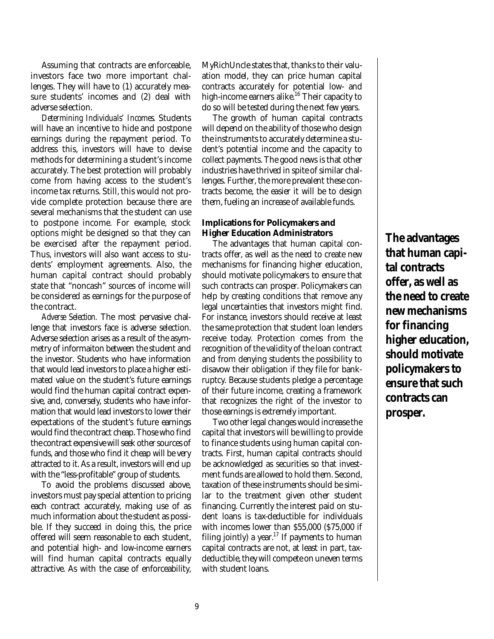Assuming that contracts are enforceable, investors face two more important challenges. They will have to (1) accurately measure students' incomes and (2) deal with adverse selection.

*Determining Individuals' Incomes.* Students will have an incentive to hide and postpone earnings during the repayment period. To address this, investors will have to devise methods for determining a student's income accurately. The best protection will probably come from having access to the student's income tax returns. Still, this would not provide complete protection because there are several mechanisms that the student can use to postpone income. For example, stock options might be designed so that they can be exercised after the repayment period. Thus, investors will also want access to students' employment agreements. Also, the human capital contract should probably state that "noncash" sources of income will be considered as earnings for the purpose of the contract.

*Adverse Selection.* The most pervasive challenge that investors face is adverse selection. Adverse selection arises as a result of the asymmetry of informaiton between the student and the investor. Students who have information that would lead investors to place a higher estimated value on the student's future earnings would find the human capital contract expensive, and, conversely, students who have information that would lead investors to lower their expectations of the student's future earnings would find the contract cheap. Those who find the contract expensive will seek other sources of funds, and those who find it cheap will be very attracted to it. As a result, investors will end up with the "less-profitable" group of students.

To avoid the problems discussed above, investors must pay special attention to pricing each contract accurately, making use of as much information about the student as possible. If they succeed in doing this, the price offered will seem reasonable to each student, and potential high- and low-income earners will find human capital contracts equally attractive. As with the case of enforceability, MyRichUncle states that, thanks to their valuation model, they can price human capital contracts accurately for potential low- and high-income earners alike.<sup>16</sup> Their capacity to do so will be tested during the next few years.

The growth of human capital contracts will depend on the ability of those who design the instruments to accurately determine a student's potential income and the capacity to collect payments. The good news is that other industries have thrived in spite of similar challenges. Further, the more prevalent these contracts become, the easier it will be to design them, fueling an increase of available funds.

#### **Implications for Policymakers and Higher Education Administrators**

The advantages that human capital contracts offer, as well as the need to create new mechanisms for financing higher education, should motivate policymakers to ensure that such contracts can prosper. Policymakers can help by creating conditions that remove any legal uncertainties that investors might find. For instance, investors should receive at least the same protection that student loan lenders receive today. Protection comes from the recognition of the validity of the loan contract and from denying students the possibility to disavow their obligation if they file for bankruptcy. Because students pledge a percentage of their future income, creating a framework that recognizes the right of the investor to those earnings is extremely important.

Two other legal changes would increase the capital that investors will be willing to provide to finance students using human capital contracts. First, human capital contracts should be acknowledged as securities so that investment funds are allowed to hold them. Second, taxation of these instruments should be similar to the treatment given other student financing. Currently the interest paid on student loans is tax-deductible for individuals with incomes lower than \$55,000 (\$75,000 if filing jointly) a year.<sup>17</sup> If payments to human capital contracts are not, at least in part, taxdeductible, they will compete on uneven terms with student loans.

**The advantages that human capital contracts offer, as well as the need to create new mechanisms for financing higher education, should motivate policymakers to ensure that such contracts can prosper.**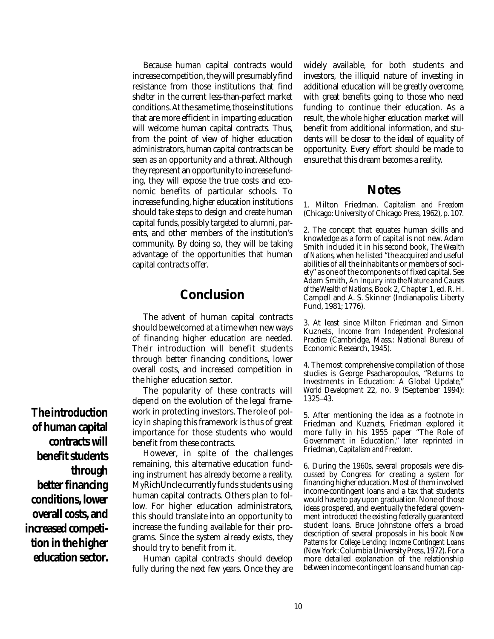Because human capital contracts would increase competition, they will presumably find resistance from those institutions that find shelter in the current less-than-perfect market conditions. At the same time, those institutions that are more efficient in imparting education will welcome human capital contracts. Thus, from the point of view of higher education administrators, human capital contracts can be seen as an opportunity and a threat. Although they represent an opportunity to increase funding, they will expose the true costs and economic benefits of particular schools. To increase funding, higher education institutions should take steps to design and create human capital funds, possibly targeted to alumni, parents, and other members of the institution's community. By doing so, they will be taking advantage of the opportunities that human capital contracts offer.

## **Conclusion**

The advent of human capital contracts should be welcomed at a time when new ways of financing higher education are needed. Their introduction will benefit students through better financing conditions, lower overall costs, and increased competition in the higher education sector.

The popularity of these contracts will depend on the evolution of the legal framework in protecting investors. The role of policy in shaping this framework is thus of great importance for those students who would benefit from these contracts.

However, in spite of the challenges remaining, this alternative education funding instrument has already become a reality. MyRichUncle currently funds students using human capital contracts. Others plan to follow. For higher education administrators, this should translate into an opportunity to increase the funding available for their programs. Since the system already exists, they should try to benefit from it.

Human capital contracts should develop fully during the next few years. Once they are widely available, for both students and investors, the illiquid nature of investing in additional education will be greatly overcome, with great benefits going to those who need funding to continue their education. As a result, the whole higher education market will benefit from additional information, and students will be closer to the ideal of equality of opportunity. Every effort should be made to ensure that this dream becomes a reality.

#### **Notes**

1. Milton Friedman. *Capitalism and Freedom* (Chicago: University of Chicago Press, 1962), p. 107.

2. The concept that equates human skills and knowledge as a form of capital is not new. Adam Smith included it in his second book, *The Wealth of Nations*, when he listed "the acquired and useful abilities of all the inhabitants or members of society" as one of the components of fixed capital. See Adam Smith, *An Inquiry into the Nature and Causes of the Wealth of Nations*, Book 2, Chapter 1, ed. R. H. Campell and A. S. Skinner (Indianapolis: Liberty Fund, 1981; 1776).

3. At least since Milton Friedman and Simon Kuznets, *Income from Independent Professional Practice* (Cambridge, Mass.: National Bureau of Economic Research, 1945).

4. The most comprehensive compilation of those studies is George Psacharopoulos, "Returns to Investments in Education: A Global Update," *World Development* 22, no. 9 (September 1994): 1325–43.

5. After mentioning the idea as a footnote in Friedman and Kuznets, Friedman explored it more fully in his 1955 paper "The Role of Government in Education," later reprinted in Friedman, *Capitalism and Freedom.*

6. During the 1960s, several proposals were discussed by Congress for creating a system for financing higher education. Most of them involved income-contingent loans and a tax that students would have to pay upon graduation. None of those ideas prospered, and eventually the federal government introduced the existing federally guaranteed student loans. Bruce Johnstone offers a broad description of several proposals in his book *New Patterns for College Lending: Income Contingent Loans* (New York: Columbia University Press, 1972). For a more detailed explanation of the relationship between income-contingent loans and human cap-

**The introduction of human capital contracts will benefit students through better financing conditions, lower overall costs, and increased competition in the higher education sector.**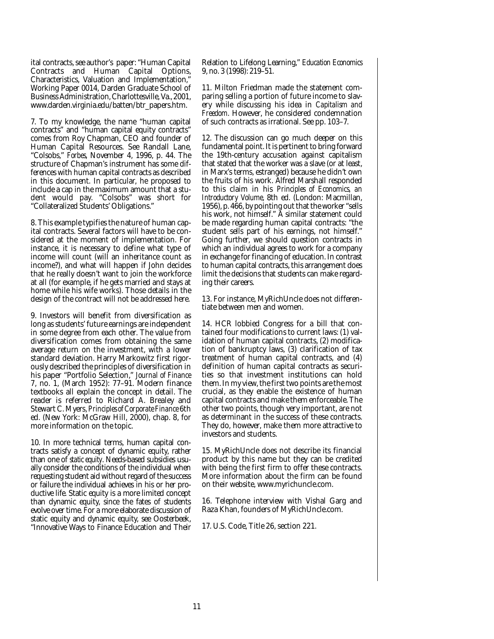ital contracts, see author's paper: "Human Capital Contracts and Human Capital Options, Characteristics, Valuation and Implementation," Working Paper 0014, Darden Graduate School of Business Administration, Charlottesville, Va., 2001, www.darden.virginia.edu/batten/btr\_papers.htm.

7. To my knowledge, the name "human capital contracts" and "human capital equity contracts" comes from Roy Chapman, CEO and founder of Human Capital Resources. See Randall Lane, "Colsobs," *Forbes*, November 4, 1996, p. 44. The structure of Chapman's instrument has some differences with human capital contracts as described in this document. In particular, he proposed to include a cap in the maximum amount that a student would pay. "Colsobs" was short for "Collateralized Students' Obligations."

8. This example typifies the nature of human capital contracts. Several factors will have to be considered at the moment of implementation. For instance, it is necessary to define what type of income will count (will an inheritance count as income?), and what will happen if John decides that he really doesn't want to join the workforce at all (for example, if he gets married and stays at home while his wife works). Those details in the design of the contract will not be addressed here.

9. Investors will benefit from diversification as long as students' future earnings are independent in some degree from each other. The value from diversification comes from obtaining the same average return on the investment, with a lower standard deviation. Harry Markowitz first rigorously described the principles of diversification in his paper "Portfolio Selection," *Journal of Finance* 7, no. 1, (March 1952): 77–91. Modern finance textbooks all explain the concept in detail. The reader is referred to Richard A. Brealey and Stewart C. Myers, *Principles of Corporate Finance* 6th ed. (New York: McGraw Hill, 2000), chap. 8, for more information on the topic.

10. In more technical terms, human capital contracts satisfy a concept of dynamic equity, rather than one of *static equity*. Needs-based subsidies usually consider the conditions of the individual when requesting student aid without regard of the success or failure the individual achieves in his or her productive life. Static equity is a more limited concept than dynamic equity, since the fates of students evolve over time. For a more elaborate discussion of static equity and dynamic equity, see Oosterbeek, "Innovative Ways to Finance Education and Their

Relation to Lifelong Learning," *Education Economics* 9, no. 3 (1998): 219–51.

11. Milton Friedman made the statement comparing selling a portion of future income to slavery while discussing his idea in *Capitalism and Freedom*. However, he considered condemnation of such contracts as irrational. See pp. 103–7.

12. The discussion can go much deeper on this fundamental point. It is pertinent to bring forward the 19th-century accusation against capitalism that stated that the worker was a slave (or at least, in Marx's terms, estranged) because he didn't own the fruits of his work. Alfred Marshall responded to this claim in his *Principles of Economics, an Introductory Volume,* 8th ed. (London: Macmillan, 1956), p. 466, by pointing out that the worker "sells his work, not himself." A similar statement could be made regarding human capital contracts: "the student sells part of his earnings, not himself." Going further, we should question contracts in which an individual agrees to work for a company in exchange for financing of education. In contrast to human capital contracts, this arrangement does limit the decisions that students can make regarding their careers.

13. For instance, MyRichUncle does not differentiate between men and women.

14. HCR lobbied Congress for a bill that contained four modifications to current laws: (1) validation of human capital contracts, (2) modification of bankruptcy laws, (3) clarification of tax treatment of human capital contracts, and (4) definition of human capital contracts as securities so that investment institutions can hold them. In my view, the first two points are the most crucial, as they enable the existence of human capital contracts and make them enforceable. The other two points, though very important, are not as determinant in the success of these contracts. They do, however, make them more attractive to investors and students.

15. MyRichUncle does not describe its financial product by this name but they can be credited with being the first firm to offer these contracts. More information about the firm can be found on their website, www.myrichuncle.com.

16. Telephone interview with Vishal Garg and Raza Khan, founders of MyRichUncle.com.

17. U.S. Code, Title 26, section 221.